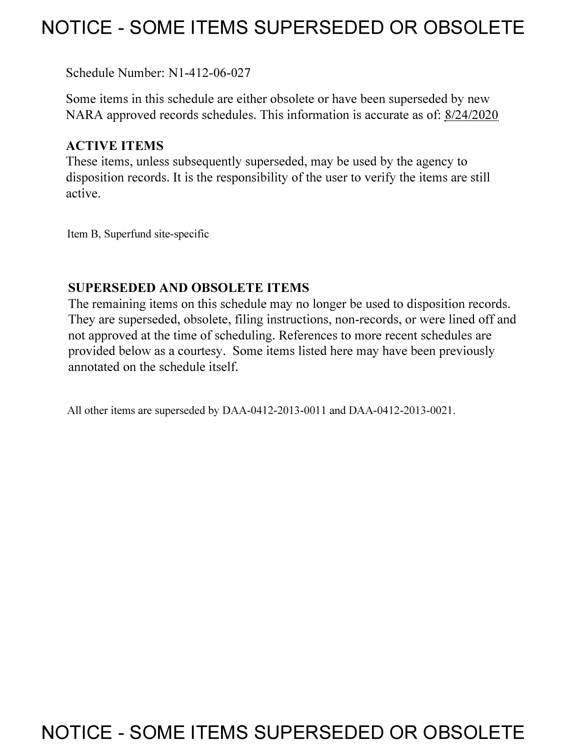## **NOTICE - SOME ITEMS SUPERSEDED OR OBSOLETE**

Schedule Number: Nl-412-06-027

Some items in this schedule are either obsolete or have been superseded by new NARA approved records schedules. This information is accurate as of: 8/24/2020

## **ACTIVE ITEMS**

These items, unless subsequently superseded, may be used by the agency to disposition records. It is the responsibility of the user to verify the items are still active.

Item B, Superfund site-specific

### **SUPERSEDED AND OBSOLETE ITEMS**

The remaining items on this schedule may no longer be used to disposition records. They are superseded, obsolete, filing instructions, non-records, or were lined off and not approved at the time of scheduling. References to more recent schedules are provided below as a courtesy. Some items listed here may have been previously annotated on the schedule itself.

All other items are superseded by DAA-0412-2013-0011 and DAA-0412-2013-0021.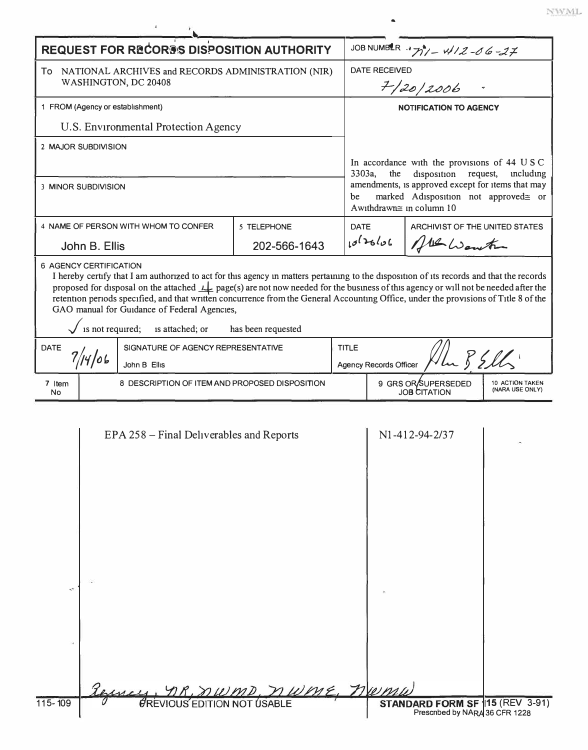|  |  |  |  | ĭ |  |
|--|--|--|--|---|--|
|  |  |  |  |   |  |

| <b>REQUEST FOR RECORDS DISPOSITION AUTHORITY</b>                                                                                                                                                                                                                                                                                                                                                                                                                                                                                                                                                                                                                    |                                                | JOB NUMBLR -177/-4/2-06-27                                                                                                                                                                                         |                                                    |  |  |  |  |  |
|---------------------------------------------------------------------------------------------------------------------------------------------------------------------------------------------------------------------------------------------------------------------------------------------------------------------------------------------------------------------------------------------------------------------------------------------------------------------------------------------------------------------------------------------------------------------------------------------------------------------------------------------------------------------|------------------------------------------------|--------------------------------------------------------------------------------------------------------------------------------------------------------------------------------------------------------------------|----------------------------------------------------|--|--|--|--|--|
| To NATIONAL ARCHIVES and RECORDS ADMINISTRATION (NIR)<br>WASHINGTON, DC 20408                                                                                                                                                                                                                                                                                                                                                                                                                                                                                                                                                                                       |                                                | <b>DATE RECEIVED</b><br>7/20/2006                                                                                                                                                                                  |                                                    |  |  |  |  |  |
| 1 FROM (Agency or establishment)                                                                                                                                                                                                                                                                                                                                                                                                                                                                                                                                                                                                                                    |                                                | <b>NOTIFICATION TO AGENCY</b>                                                                                                                                                                                      |                                                    |  |  |  |  |  |
| U.S. Environmental Protection Agency                                                                                                                                                                                                                                                                                                                                                                                                                                                                                                                                                                                                                                |                                                |                                                                                                                                                                                                                    |                                                    |  |  |  |  |  |
| 2 MAJOR SUBDIVISION                                                                                                                                                                                                                                                                                                                                                                                                                                                                                                                                                                                                                                                 |                                                |                                                                                                                                                                                                                    |                                                    |  |  |  |  |  |
| 3 MINOR SUBDIVISION                                                                                                                                                                                                                                                                                                                                                                                                                                                                                                                                                                                                                                                 | 3303a,<br>be                                   | In accordance with the provisions of 44 U S C<br>disposition request,<br>the<br>including<br>amendments, is approved except for items that may<br>marked Adisposition not approved= or<br>Awithdrawn≅ in column 10 |                                                    |  |  |  |  |  |
| 4 NAME OF PERSON WITH WHOM TO CONFER                                                                                                                                                                                                                                                                                                                                                                                                                                                                                                                                                                                                                                | 5 TELEPHONE                                    | <b>DATE</b>                                                                                                                                                                                                        | ARCHIVIST OF THE UNITED STATES                     |  |  |  |  |  |
| John B. Ellis                                                                                                                                                                                                                                                                                                                                                                                                                                                                                                                                                                                                                                                       | 202-566-1643                                   | 10126106                                                                                                                                                                                                           | All Wenter                                         |  |  |  |  |  |
| <b>6 AGENCY CERTIFICATION</b><br>I hereby certify that I am authorized to act for this agency in matters pertaining to the disposition of its records and that the records<br>proposed for disposal on the attached $\perp$ page(s) are not now needed for the business of this agency or will not be needed after the<br>retention periods specified, and that written concurrence from the General Accounting Office, under the provisions of Title 8 of the<br>GAO manual for Guidance of Federal Agencies,<br>is not required; is attached; or<br>has been requested<br><b>DATE</b><br><b>TITLE</b><br>SIGNATURE OF AGENCY REPRESENTATIVE<br>Un BEll<br>7/14/06 |                                                |                                                                                                                                                                                                                    |                                                    |  |  |  |  |  |
| John B Ellis<br><b>Agency Records Officer</b><br>9 GRS OR SUPERSEDED<br>10 ACTION TAKEN                                                                                                                                                                                                                                                                                                                                                                                                                                                                                                                                                                             |                                                |                                                                                                                                                                                                                    |                                                    |  |  |  |  |  |
| 7 Item<br>No                                                                                                                                                                                                                                                                                                                                                                                                                                                                                                                                                                                                                                                        | 8 DESCRIPTION OF ITEM AND PROPOSED DISPOSITION |                                                                                                                                                                                                                    |                                                    |  |  |  |  |  |
| EPA 258 – Final Deliverables and Reports<br><b>UREVIOUS EDITION NOT USABLE</b><br>115-109                                                                                                                                                                                                                                                                                                                                                                                                                                                                                                                                                                           |                                                | ME, norm                                                                                                                                                                                                           | N1-412-94-2/37<br>STANDARD FORM SF   15 (REV 3-91) |  |  |  |  |  |
|                                                                                                                                                                                                                                                                                                                                                                                                                                                                                                                                                                                                                                                                     |                                                |                                                                                                                                                                                                                    | Prescribed by NARA 36 CFR 1228                     |  |  |  |  |  |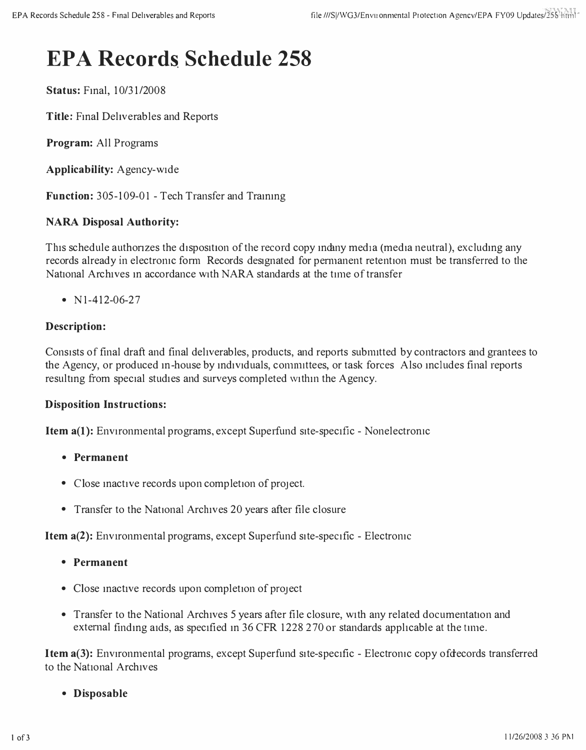# **EPA Records Schedule 258**

**Status:** Fmal, 10/31/2008

**Title:** Final Deliverables and Reports

**Program:** All Programs

**Applicability:** Agency-wide

**Function:** 305-109-01 - Tech Transfer and Trammg

#### **NARA Disposal Authority:**

This schedule authorizes the disposition of the record copy indiny media (media neutral), excluding any records already in electronic form Records designated for permanent retention must be transferred to the National Archives m accordance with NARA standards at the time of transfer

•  $N1-412-06-27$ 

#### **Description:**

Consists of final draft and final deliverables, products, and reports subnutted by contractors and grantees to the Agency, or produced m-house by mdividuals, conumttees, or task forces Also mcludes final reports resulting from special studies and surveys completed within the Agency.

#### **Disposition Instructions:**

**Item a(l):** Environmental programs, except Superfund site-specific - Nonelectrornc

- **Permanent**
- Close mactive records upon completion of project.
- Transfer to the National Archives 20 years after file closure

**Item a(2):** Environmental programs, except Superfund site-specific - Electromc

- **Permanent**
- Close inactive records upon completion of project
- Transfer to the National Archives 5 years after file closure, with any related documentation and external finding aids, as specified in 36 CFR 1228 270 or standards applicable at the time.

**Item a(3):** Environmental programs, except Superfund site-specific - Electronic copy of decords transferred to the National Archives

**• Disposable**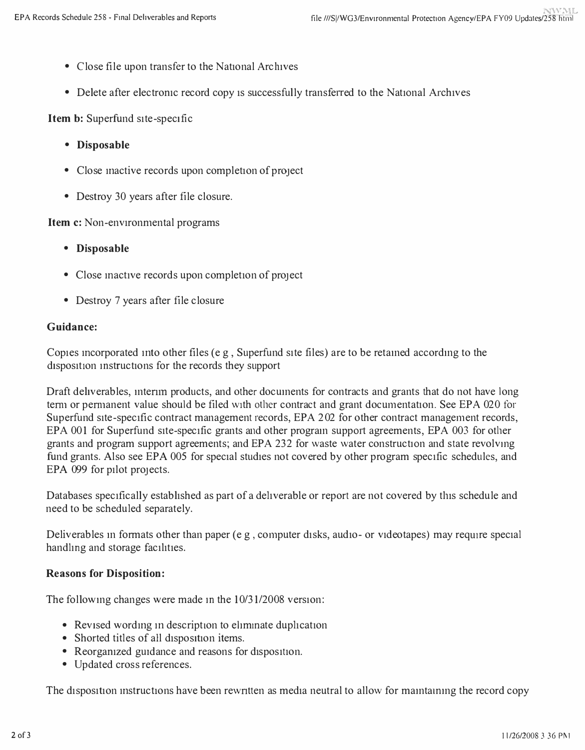- Close file upon transfer to the National Archives
- Delete after electronic record copy is successfully transferred to the National Archives

**Item b:** Superfund site-specific

- **Disposable**
- Close inactive records upon completion of project
- Destroy 30 years after file closure.

**Item c:** Non-environmental programs

- **Disposable**
- Close inactive records upon completion of project
- Destroy 7 years after file closure

#### **Guidance:**

Copies incorporated into other files (e g, Superfund site files) are to be retained according to the disposition instructions for the records they support

Draft deliverables, mtemn products, and other documents for contracts and grants that do not have long term or permanent value should be filed with other contract and grant documentation. See EPA 020 for Superfund site-specific contract management records, EPA 202 for other contract management records, EPA 001 for Superfund site-specific grants and other program support agreements, EPA 003 for other grants and program support agreements; and EPA 232 for waste water construction and state revolving fund grants. Also see EPA 005 for special studies not covered by other program specific schedules, and EPA 099 for pilot projects.

Databases specifically established as part of a deliverable or report are not covered by this schedule and need to be scheduled separately.

Deliverables in formats other than paper (e g, computer disks, audio- or videotapes) may require special handling and storage facilities.

#### **Reasons for Disposition:**

The following changes were made in the  $10/31/2008$  version:

- Revised wording in description to eliminate duplication
- Shorted titles of all disposition items.
- Reorganized guidance and reasons for disposition.
- Updated cross references.

The disposition instructions have been rewritten as media neutral to allow for maintaining the record copy